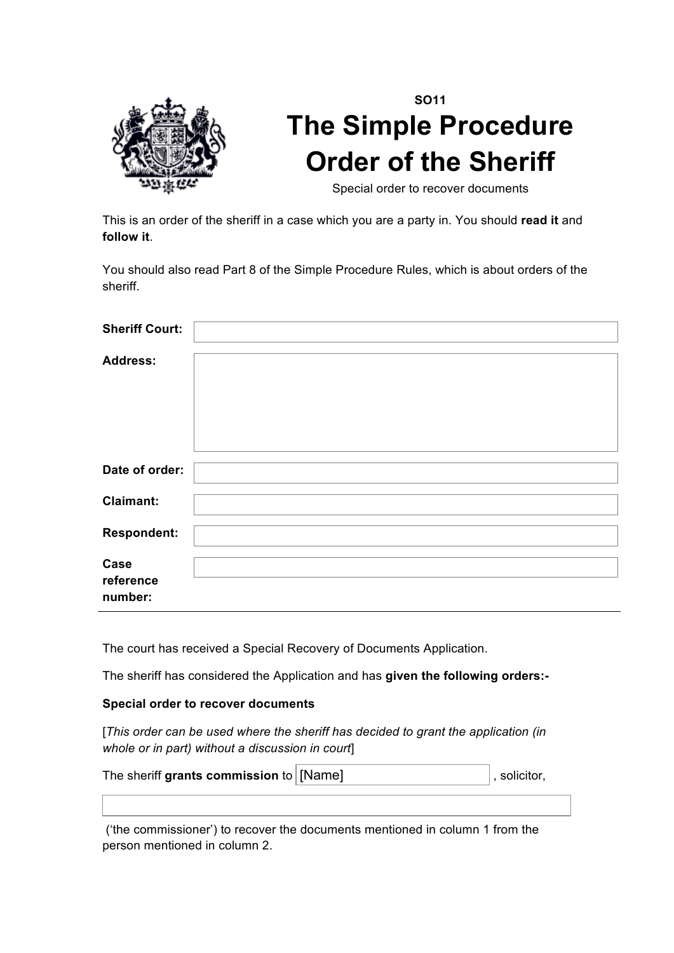

# **SO11 The Simple Procedure Order of the Sheriff**

Special order to recover documents

This is an order of the sheriff in a case which you are a party in. You should **read it** and **follow it**.

You should also read Part 8 of the Simple Procedure Rules, which is about orders of the sheriff.

| <b>Sheriff Court:</b>        |  |
|------------------------------|--|
| <b>Address:</b>              |  |
| Date of order:               |  |
| <b>Claimant:</b>             |  |
| <b>Respondent:</b>           |  |
| Case<br>reference<br>number: |  |

The court has received a Special Recovery of Documents Application.

The sheriff has considered the Application and has **given the following orders:-**

### **Special order to recover documents**

[*This order can be used where the sheriff has decided to grant the application (in whole or in part) without a discussion in court*]

| The sheriff grants commission to $\vert$ [Name] | $\vert$ , solicitor, |
|-------------------------------------------------|----------------------|
|                                                 |                      |

('the commissioner') to recover the documents mentioned in column 1 from the person mentioned in column 2.